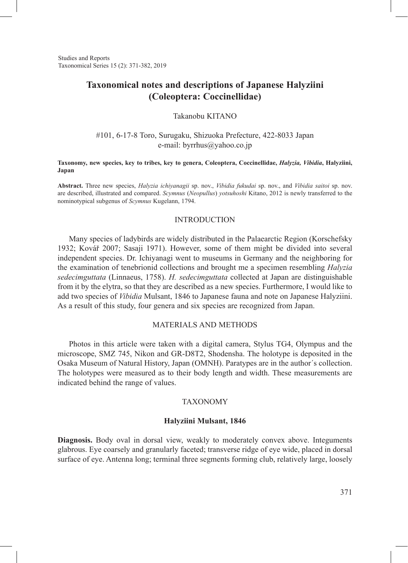Studies and Reports Taxonomical Series 15 (2): 371-382, 2019

# **Taxonomical notes and descriptions of Japanese Halyziini (Coleoptera: Coccinellidae)**

## Takanobu KITANO

### #101, 6-17-8 Toro, Surugaku, Shizuoka Prefecture, 422-8033 Japan e-mail: byrrhus@yahoo.co.jp

### **Taxonomy, new species, key to tribes, key to genera, Coleoptera, Coccinellidae,** *Halyzia, Vibidia***, Halyziini, Japan**

**Abstract.** Three new species, *Halyzia ichiyanagii* sp. nov., *Vibidia fukudai* sp. nov., and *Vibidia saitoi* sp. nov. are described, illustrated and compared. *Scymnus* (*Neopullus*) *yotsuhoshi* Kitano, 2012 is newly transferred to the nominotypical subgenus of *Scymnus* Kugelann, 1794.

### **INTRODUCTION**

Many species of ladybirds are widely distributed in the Palaearctic Region (Korschefsky 1932; Kovář 2007; Sasaji 1971). However, some of them might be divided into several independent species. Dr. Ichiyanagi went to museums in Germany and the neighboring for the examination of tenebrionid collections and brought me a specimen resembling *Halyzia sedecimguttata* (Linnaeus, 1758). *H. sedecimguttata* collected at Japan are distinguishable from it by the elytra, so that they are described as a new species. Furthermore, I would like to add two species of *Vibidia* Mulsant, 1846 to Japanese fauna and note on Japanese Halyziini. As a result of this study, four genera and six species are recognized from Japan.

## MATERIALS AND METHODS

Photos in this article were taken with a digital camera, Stylus TG4, Olympus and the microscope, SMZ 745, Nikon and GR-D8T2, Shodensha. The holotype is deposited in the Osaka Museum of Natural History, Japan (OMNH). Paratypes are in the author´s collection. The holotypes were measured as to their body length and width. These measurements are indicated behind the range of values.

### **TAXONOMY**

### **Halyziini Mulsant, 1846**

**Diagnosis.** Body oval in dorsal view, weakly to moderately convex above. Integuments glabrous. Eye coarsely and granularly faceted; transverse ridge of eye wide, placed in dorsal surface of eye. Antenna long; terminal three segments forming club, relatively large, loosely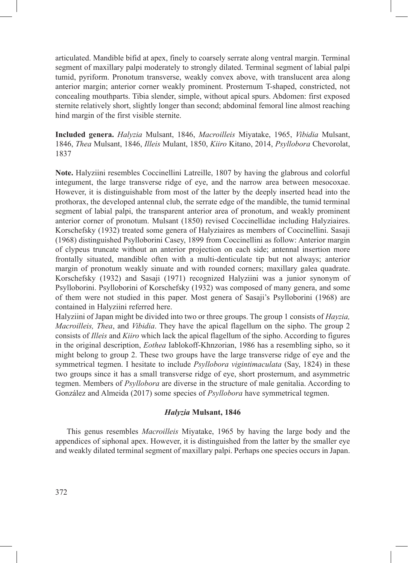articulated. Mandible bifid at apex, finely to coarsely serrate along ventral margin. Terminal segment of maxillary palpi moderately to strongly dilated. Terminal segment of labial palpi tumid, pyriform. Pronotum transverse, weakly convex above, with translucent area along anterior margin; anterior corner weakly prominent. Prosternum T-shaped, constricted, not concealing mouthparts. Tibia slender, simple, without apical spurs. Abdomen: first exposed sternite relatively short, slightly longer than second; abdominal femoral line almost reaching hind margin of the first visible sternite.

**Included genera.** *Halyzia* Mulsant, 1846, *Macroilleis* Miyatake, 1965, *Vibidia* Mulsant, 1846, *Thea* Mulsant, 1846, *Illeis* Mulant, 1850, *Kiiro* Kitano, 2014, *Psyllobora* Chevorolat, 1837

**Note.** Halyziini resembles Coccinellini Latreille, 1807 by having the glabrous and colorful integument, the large transverse ridge of eye, and the narrow area between mesocoxae. However, it is distinguishable from most of the latter by the deeply inserted head into the prothorax, the developed antennal club, the serrate edge of the mandible, the tumid terminal segment of labial palpi, the transparent anterior area of pronotum, and weakly prominent anterior corner of pronotum. Mulsant (1850) revised Coccinellidae including Halyziaires. Korschefsky (1932) treated some genera of Halyziaires as members of Coccinellini. Sasaji (1968) distinguished Psylloborini Casey, 1899 from Coccinellini as follow: Anterior margin of clypeus truncate without an anterior projection on each side; antennal insertion more frontally situated, mandible often with a multi-denticulate tip but not always; anterior margin of pronotum weakly sinuate and with rounded corners; maxillary galea quadrate. Korschefsky (1932) and Sasaji (1971) recognized Halyziini was a junior synonym of Psylloborini. Psylloborini of Korschefsky (1932) was composed of many genera, and some of them were not studied in this paper. Most genera of Sasaji's Psylloborini (1968) are contained in Halyziini referred here.

Halyziini of Japan might be divided into two or three groups. The group 1 consists of *Hayzia, Macroilleis, Thea*, and *Vibidia*. They have the apical flagellum on the sipho. The group 2 consists of *Illeis* and *Kiiro* which lack the apical flagellum of the sipho. According to figures in the original description, *Eothea* Iablokoff-Khnzorian, 1986 has a resembling sipho, so it might belong to group 2. These two groups have the large transverse ridge of eye and the symmetrical tegmen. I hesitate to include *Psyllobora vigintimaculata* (Say, 1824) in these two groups since it has a small transverse ridge of eye, short prosternum, and asymmetric tegmen. Members of *Psyllobora* are diverse in the structure of male genitalia. According to González and Almeida (2017) some species of *Psyllobora* have symmetrical tegmen.

### *Halyzia* **Mulsant, 1846**

This genus resembles *Macroilleis* Miyatake, 1965 by having the large body and the appendices of siphonal apex. However, it is distinguished from the latter by the smaller eye and weakly dilated terminal segment of maxillary palpi. Perhaps one species occurs in Japan.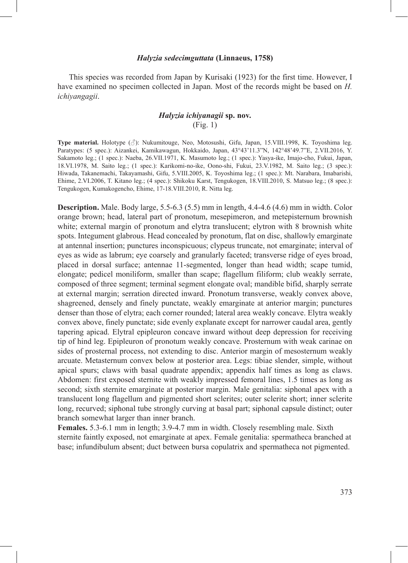### *Halyzia sedecimguttata* **(Linnaeus, 1758)**

This species was recorded from Japan by Kurisaki (1923) for the first time. However, I have examined no specimen collected in Japan. Most of the records might be based on *H. ichiyangagii*.

## *Halyzia ichiyanagii* **sp. nov.** (Fig. 1)

**Type material.** Holotype (♂): Nukumitouge, Neo, Motosushi, Gifu, Japan, 15.VIII.1998, K. Toyoshima leg. Paratypes: (5 spec.): Aizankei, Kamikawagun, Hokkaido, Japan, 43°43'11.3"N, 142°48'49.7"E, 2.VII.2016, Y. Sakamoto leg.; (1 spec.): Naeba, 26.VII.1971, K. Masumoto leg.; (1 spec.): Yasya-ike, Imajo-cho, Fukui, Japan, 18.VI.1978, M. Saito leg.; (1 spec.): Karikomi-no-ike, Oono-shi, Fukui, 23.V.1982, M. Saito leg.; (3 spec.): Hiwada, Takanemachi, Takayamashi, Gifu, 5.VIII.2005, K. Toyoshima leg.; (1 spec.): Mt. Narabara, Imabarishi, Ehime, 2.VI.2006, T. Kitano leg.; (4 spec.): Shikoku Karst, Tengukogen, 18.VIII.2010, S. Matsuo leg.; (8 spec.): Tengukogen, Kumakogencho, Ehime, 17-18.VIII.2010, R. Nitta leg.

**Description.** Male. Body large, 5.5-6.3 (5.5) mm in length, 4.4-4.6 (4.6) mm in width. Color orange brown; head, lateral part of pronotum, mesepimeron, and metepisternum brownish white; external margin of pronotum and elytra translucent; elytron with 8 brownish white spots. Integument glabrous. Head concealed by pronotum, flat on disc, shallowly emarginate at antennal insertion; punctures inconspicuous; clypeus truncate, not emarginate; interval of eyes as wide as labrum; eye coarsely and granularly faceted; transverse ridge of eyes broad, placed in dorsal surface; antennae 11-segmented, longer than head width; scape tumid, elongate; pedicel moniliform, smaller than scape; flagellum filiform; club weakly serrate, composed of three segment; terminal segment elongate oval; mandible bifid, sharply serrate at external margin; serration directed inward. Pronotum transverse, weakly convex above, shagreened, densely and finely punctate, weakly emarginate at anterior margin; punctures denser than those of elytra; each corner rounded; lateral area weakly concave. Elytra weakly convex above, finely punctate; side evenly explanate except for narrower caudal area, gently tapering apicad. Elytral epipleuron concave inward without deep depression for receiving tip of hind leg. Epipleuron of pronotum weakly concave. Prosternum with weak carinae on sides of prosternal process, not extending to disc. Anterior margin of mesosternum weakly arcuate. Metasternum convex below at posterior area. Legs: tibiae slender, simple, without apical spurs; claws with basal quadrate appendix; appendix half times as long as claws. Abdomen: first exposed sternite with weakly impressed femoral lines, 1.5 times as long as second; sixth sternite emarginate at posterior margin. Male genitalia: siphonal apex with a translucent long flagellum and pigmented short sclerites; outer sclerite short; inner sclerite long, recurved; siphonal tube strongly curving at basal part; siphonal capsule distinct; outer branch somewhat larger than inner branch.

**Females.** 5.3-6.1 mm in length; 3.9-4.7 mm in width. Closely resembling male. Sixth sternite faintly exposed, not emarginate at apex. Female genitalia: spermatheca branched at base; infundibulum absent; duct between bursa copulatrix and spermatheca not pigmented.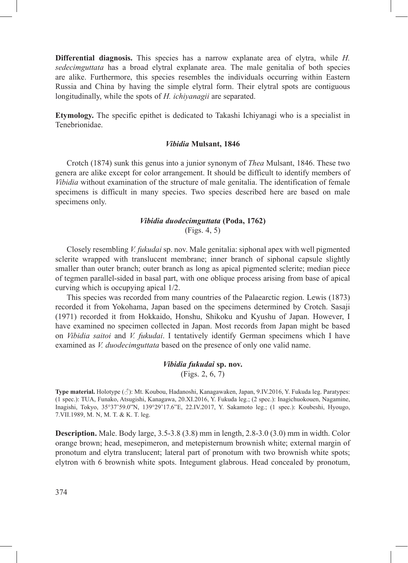**Differential diagnosis.** This species has a narrow explanate area of elytra, while *H. sedecimguttata* has a broad elytral explanate area. The male genitalia of both species are alike. Furthermore, this species resembles the individuals occurring within Eastern Russia and China by having the simple elytral form. Their elytral spots are contiguous longitudinally, while the spots of *H. ichiyanagii* are separated.

**Etymology.** The specific epithet is dedicated to Takashi Ichiyanagi who is a specialist in Tenebrionidae.

#### *Vibidia* **Mulsant, 1846**

Crotch (1874) sunk this genus into a junior synonym of *Thea* Mulsant, 1846. These two genera are alike except for color arrangement. It should be difficult to identify members of *Vibidia* without examination of the structure of male genitalia. The identification of female specimens is difficult in many species. Two species described here are based on male specimens only.

## *Vibidia duodecimguttata* **(Poda, 1762)**

(Figs. 4, 5)

Closely resembling *V. fukudai* sp. nov. Male genitalia: siphonal apex with well pigmented sclerite wrapped with translucent membrane; inner branch of siphonal capsule slightly smaller than outer branch; outer branch as long as apical pigmented sclerite; median piece of tegmen parallel-sided in basal part, with one oblique process arising from base of apical curving which is occupying apical 1/2.

This species was recorded from many countries of the Palaearctic region. Lewis (1873) recorded it from Yokohama, Japan based on the specimens determined by Crotch. Sasaji (1971) recorded it from Hokkaido, Honshu, Shikoku and Kyushu of Japan. However, I have examined no specimen collected in Japan. Most records from Japan might be based on *Vibidia saitoi* and *V. fukudai*. I tentatively identify German specimens which I have examined as *V. duodecimguttata* based on the presence of only one valid name.

## *Vibidia fukudai* **sp. nov.** (Figs. 2, 6, 7)

**Type material.** Holotype (♂): Mt. Koubou, Hadanoshi, Kanagawaken, Japan, 9.IV.2016, Y. Fukuda leg. Paratypes: (1 spec.): TUA, Funako, Atsugishi, Kanagawa, 20.XI.2016, Y. Fukuda leg.; (2 spec.): Inagichuokouen, Nagamine, Inagishi, Tokyo, 35°37'59.0"N, 139°29'17.6"E, 22.IV.2017, Y. Sakamoto leg.; (1 spec.): Koubeshi, Hyougo, 7.VII.1989, M. N, M. T. & K. T. leg.

**Description.** Male. Body large, 3.5-3.8 (3.8) mm in length, 2.8-3.0 (3.0) mm in width. Color orange brown; head, mesepimeron, and metepisternum brownish white; external margin of pronotum and elytra translucent; lateral part of pronotum with two brownish white spots; elytron with 6 brownish white spots. Integument glabrous. Head concealed by pronotum,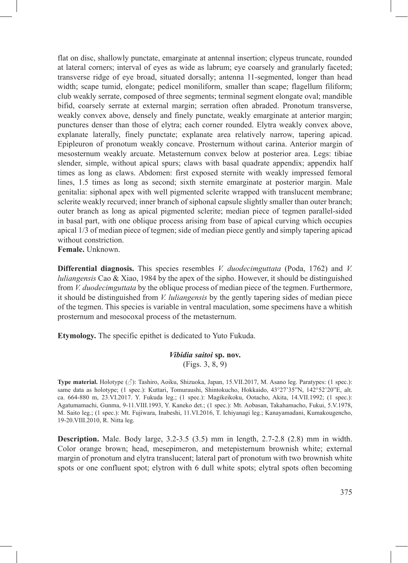flat on disc, shallowly punctate, emarginate at antennal insertion; clypeus truncate, rounded at lateral corners; interval of eyes as wide as labrum; eye coarsely and granularly faceted; transverse ridge of eye broad, situated dorsally; antenna 11-segmented, longer than head width; scape tumid, elongate; pedicel moniliform, smaller than scape; flagellum filiform; club weakly serrate, composed of three segments; terminal segment elongate oval; mandible bifid, coarsely serrate at external margin; serration often abraded. Pronotum transverse, weakly convex above, densely and finely punctate, weakly emarginate at anterior margin; punctures denser than those of elytra; each corner rounded. Elytra weakly convex above, explanate laterally, finely punctate; explanate area relatively narrow, tapering apicad. Epipleuron of pronotum weakly concave. Prosternum without carina. Anterior margin of mesosternum weakly arcuate. Metasternum convex below at posterior area. Legs: tibiae slender, simple, without apical spurs; claws with basal quadrate appendix; appendix half times as long as claws. Abdomen: first exposed sternite with weakly impressed femoral lines, 1.5 times as long as second; sixth sternite emarginate at posterior margin. Male genitalia: siphonal apex with well pigmented sclerite wrapped with translucent membrane; sclerite weakly recurved; inner branch of siphonal capsule slightly smaller than outer branch; outer branch as long as apical pigmented sclerite; median piece of tegmen parallel-sided in basal part, with one oblique process arising from base of apical curving which occupies apical 1/3 of median piece of tegmen; side of median piece gently and simply tapering apicad without constriction.

**Female.** Unknown.

**Differential diagnosis.** This species resembles *V. duodecimguttata* (Poda, 1762) and *V. luliangensis* Cao & Xiao, 1984 by the apex of the sipho. However, it should be distinguished from *V. duodecimguttata* by the oblique process of median piece of the tegmen. Furthermore, it should be distinguished from *V. luliangensis* by the gently tapering sides of median piece of the tegmen. This species is variable in ventral maculation, some specimens have a whitish prosternum and mesocoxal process of the metasternum.

**Etymology.** The specific epithet is dedicated to Yuto Fukuda.

## *Vibidia saitoi* **sp. nov.** (Figs. 3, 8, 9)

**Type material.** Holotype (♂): Tashiro, Aoiku, Shizuoka, Japan, 15.VII.2017, M. Asano leg. Paratypes: (1 spec.): same data as holotype; (1 spec.): Kuttari, Tomuraushi, Shintokucho, Hokkaido, 43°27'35"N, 142°52'20"E, alt. ca. 664-880 m, 23.VI.2017. Y. Fukuda leg.; (1 spec.): Magikeikoku, Ootacho, Akita, 14.VII.1992; (1 spec.): Agatumamachi, Gunma, 9-11.VIII.1993, Y. Kaneko det.; (1 spec.): Mt. Aobasan, Takahamacho, Fukui, 5.V.1978, M. Saito leg.; (1 spec.): Mt. Fujiwara, Inabeshi, 11.VI.2016, T. Ichiyanagi leg.; Kanayamadani, Kumakougencho, 19-20.VIII.2010, R. Nitta leg.

**Description.** Male. Body large, 3.2-3.5 (3.5) mm in length, 2.7-2.8 (2.8) mm in width. Color orange brown; head, mesepimeron, and metepisternum brownish white; external margin of pronotum and elytra translucent; lateral part of pronotum with two brownish white spots or one confluent spot; elytron with 6 dull white spots; elytral spots often becoming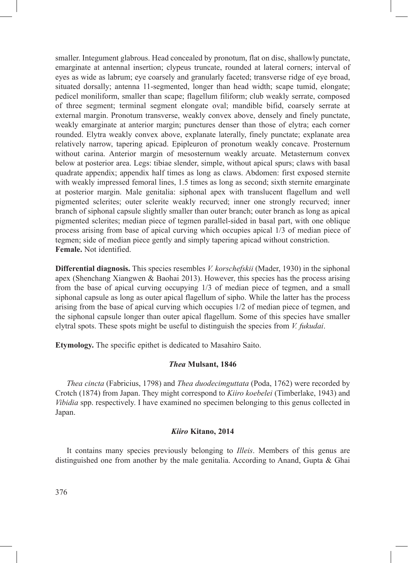smaller. Integument glabrous. Head concealed by pronotum, flat on disc, shallowly punctate, emarginate at antennal insertion; clypeus truncate, rounded at lateral corners; interval of eyes as wide as labrum; eye coarsely and granularly faceted; transverse ridge of eye broad, situated dorsally; antenna 11-segmented, longer than head width; scape tumid, elongate; pedicel moniliform, smaller than scape; flagellum filiform; club weakly serrate, composed of three segment; terminal segment elongate oval; mandible bifid, coarsely serrate at external margin. Pronotum transverse, weakly convex above, densely and finely punctate, weakly emarginate at anterior margin; punctures denser than those of elytra; each corner rounded. Elytra weakly convex above, explanate laterally, finely punctate; explanate area relatively narrow, tapering apicad. Epipleuron of pronotum weakly concave. Prosternum without carina. Anterior margin of mesosternum weakly arcuate. Metasternum convex below at posterior area. Legs: tibiae slender, simple, without apical spurs; claws with basal quadrate appendix; appendix half times as long as claws. Abdomen: first exposed sternite with weakly impressed femoral lines, 1.5 times as long as second; sixth sternite emarginate at posterior margin. Male genitalia: siphonal apex with translucent flagellum and well pigmented sclerites; outer sclerite weakly recurved; inner one strongly recurved; inner branch of siphonal capsule slightly smaller than outer branch; outer branch as long as apical pigmented sclerites; median piece of tegmen parallel-sided in basal part, with one oblique process arising from base of apical curving which occupies apical 1/3 of median piece of tegmen; side of median piece gently and simply tapering apicad without constriction. **Female.** Not identified.

**Differential diagnosis.** This species resembles *V. korschefskii* (Mader, 1930) in the siphonal apex (Shenchang Xiangwen & Baohai 2013). However, this species has the process arising from the base of apical curving occupying 1/3 of median piece of tegmen, and a small siphonal capsule as long as outer apical flagellum of sipho. While the latter has the process arising from the base of apical curving which occupies 1/2 of median piece of tegmen, and the siphonal capsule longer than outer apical flagellum. Some of this species have smaller elytral spots. These spots might be useful to distinguish the species from *V. fukudai*.

**Etymology.** The specific epithet is dedicated to Masahiro Saito.

### *Thea* **Mulsant, 1846**

*Thea cincta* (Fabricius, 1798) and *Thea duodecimguttata* (Poda, 1762) were recorded by Crotch (1874) from Japan. They might correspond to *Kiiro koebelei* (Timberlake, 1943) and *Vibidia* spp. respectively. I have examined no specimen belonging to this genus collected in Japan.

### *Kiiro* **Kitano, 2014**

It contains many species previously belonging to *Illeis*. Members of this genus are distinguished one from another by the male genitalia. According to Anand, Gupta & Ghai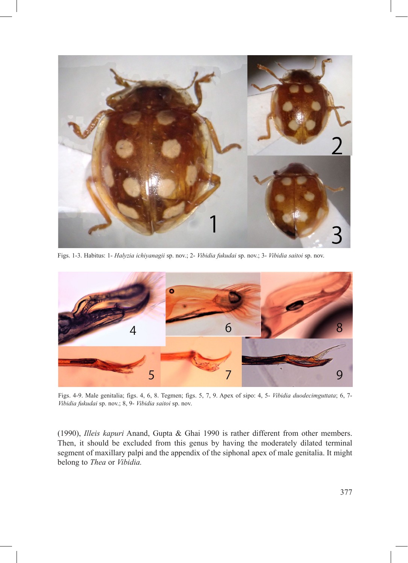

Figs. 1-3. Habitus: 1- *Halyzia ichiyanagii* sp. nov.; 2- *Vibidia fukudai* sp. nov.; 3- *Vibidia saitoi* sp. nov.



Figs. 4-9. Male genitalia; figs. 4, 6, 8. Tegmen; figs. 5, 7, 9. Apex of sipo: 4, 5- *Vibidia duodecimguttata*; 6, 7- *Vibidia fukudai* sp. nov.; 8, 9- *Vibidia saitoi* sp. nov.

(1990), *Illeis kapuri* Anand, Gupta & Ghai 1990 is rather different from other members. Then, it should be excluded from this genus by having the moderately dilated terminal segment of maxillary palpi and the appendix of the siphonal apex of male genitalia. It might belong to *Thea* or *Vibidia.*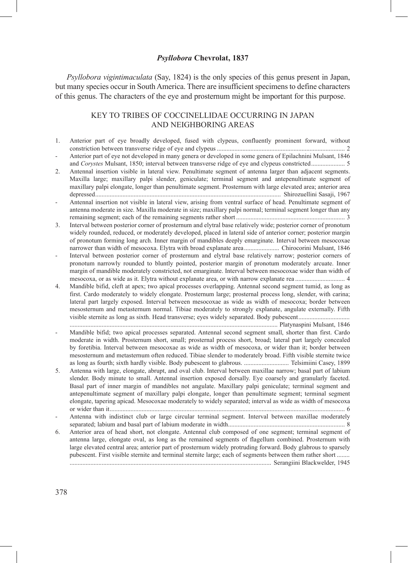### *Psyllobora* **Chevrolat, 1837**

*Psyllobora vigintimaculata* (Say, 1824) is the only species of this genus present in Japan, but many species occur in South America. There are insufficient specimens to define characters of this genus. The characters of the eye and prosternum might be important for this purpose.

## KEY TO TRIBES OF COCCINELLIDAE OCCURRING IN JAPAN AND NEIGHBORING AREAS

- 1. Anterior part of eye broadly developed, fused with clypeus, confluently prominent forward, without constriction between transverse ridge of eye and clypeus................................................................................ 2
- Anterior part of eye not developed in many genera or developed in some genera of Epilachnini Mulsant, 1846 and *Corystes* Mulsant, 1850; interval between transverse ridge of eye and clypeus constricted..................... 5
- 2. Antennal insertion visible in lateral view. Penultimate segment of antenna larger than adjacent segments. Maxilla large; maxillary palpi slender, geniculate; terminal segment and antepenultimate segment of maxillary palpi elongate, longer than penultimate segment. Prosternum with large elevated area; anterior area depressed.................................................................................................................... Shirozuellini Sasaji, 1967
- Antennal insertion not visible in lateral view, arising from ventral surface of head. Penultimate segment of antenna moderate in size. Maxilla moderate in size; maxillary palpi normal; terminal segment longer than any remaining segment; each of the remaining segments rather short .................................................................... 3
- 3. Interval between posterior corner of prosternum and elytral base relatively wide; posterior corner of pronotum widely rounded, reduced, or moderately developed, placed in lateral side of anterior corner; posterior margin of pronotum forming long arch. Inner margin of mandibles deeply emarginate. Interval between mesocoxae narrower than width of mesocoxa. Elytra with broad explanate area...................... Chirocorini Mulsant, 1846
- Interval between posterior corner of prosternum and elytral base relatively narrow; posterior corners of pronotum narrowly rounded to bluntly pointed, posterior margin of pronotum moderately arcuate. Inner margin of mandible moderately constricted, not emarginate. Interval between mesocoxae wider than width of mesocoxa, or as wide as it. Elytra without explanate area, or with narrow explanate rea ............................... 4
- 4. Mandible bifid, cleft at apex; two apical processes overlapping. Antennal second segment tumid, as long as first. Cardo moderately to widely elongate. Prosternum large; prosternal process long, slender, with carina; lateral part largely exposed. Interval between mesocoxae as wide as width of mesocoxa; border between mesosternum and metasternum normal. Tibiae moderately to strongly explanate, angulate externally. Fifth visible sternite as long as sixth. Head transverse; eyes widely separated. Body pubescent................................
- .................................................................................................................................. Platynaspini Mulsant, 1846 - Mandible bifid; two apical processes separated. Antennal second segment small, shorter than first. Cardo moderate in width. Prosternum short, small; prosternal process short, broad; lateral part largely concealed by foretibia. Interval between mesocoxae as wide as width of mesocoxa, or wider than it; border between mesosternum and metasternum often reduced. Tibiae slender to moderately broad. Fifth visible sternite twice as long as fourth; sixth hardly visible. Body pubescent to glabrous. ............................ Telsimiini Casey, 1899
- 5. Antenna with large, elongate, abrupt, and oval club. Interval between maxillae narrow; basal part of labium slender. Body minute to small. Antennal insertion exposed dorsally. Eye coarsely and granularly faceted. Basal part of inner margin of mandibles not angulate. Maxillary palpi geniculate; terminal segment and antepenultimate segment of maxillary palpi elongate, longer than penultimate segment; terminal segment elongate, tapering apicad. Mesocoxae moderately to widely separated; interval as wide as width of mesocoxa or wider than it................................................................................................................................................... 6
- Antenna with indistinct club or large circular terminal segment. Interval between maxillae moderately separated; labium and basal part of labium moderate in width......................................................................... 8
- 6. Anterior area of head short, not elongate. Antennal club composed of one segment; terminal segment of antenna large, elongate oval, as long as the remained segments of flagellum combined. Prosternum with large elevated central area; anterior part of prosternum widely protruding forward. Body glabrous to sparsely pubescent. First visible sternite and terminal sternite large; each of segments between them rather short ........ .............................................................................................................................. Serangiini Blackwelder, 1945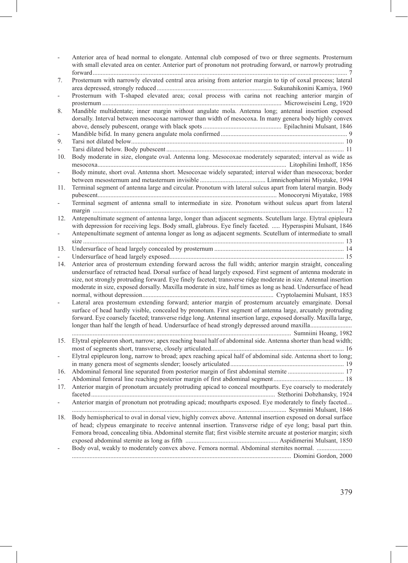|               | Anterior area of head normal to elongate. Antennal club composed of two or three segments. Prosternum<br>with small elevated area on center. Anterior part of pronotum not protruding forward, or narrowly protruding                                                                                                                              |
|---------------|----------------------------------------------------------------------------------------------------------------------------------------------------------------------------------------------------------------------------------------------------------------------------------------------------------------------------------------------------|
| 7.            | Prosternum with narrowly elevated central area arising from anterior margin to tip of coxal process; lateral                                                                                                                                                                                                                                       |
|               | Prosternum with T-shaped elevated area; coxal process with carina not reaching anterior margin of                                                                                                                                                                                                                                                  |
| 8.            | Mandible multidentate; inner margin without angulate mola. Antenna long; antennal insertion exposed<br>dorsally. Interval between mesocoxae narrower than width of mesocoxa. In many genera body highly convex                                                                                                                                     |
|               |                                                                                                                                                                                                                                                                                                                                                    |
| 9.            |                                                                                                                                                                                                                                                                                                                                                    |
|               |                                                                                                                                                                                                                                                                                                                                                    |
| 10.           | Body moderate in size, elongate oval. Antenna long. Mesocoxae moderately separated; interval as wide as                                                                                                                                                                                                                                            |
| $\frac{1}{2}$ | Body minute, short oval. Antenna short. Mesocoxae widely separated; interval wider than mesocoxa; border                                                                                                                                                                                                                                           |
| 11.           | Terminal segment of antenna large and circular. Pronotum with lateral sulcus apart from lateral margin. Body                                                                                                                                                                                                                                       |
|               | Terminal segment of antenna small to intermediate in size. Pronotum without sulcus apart from lateral                                                                                                                                                                                                                                              |
| 12.           | Antepenultimate segment of antenna large, longer than adjacent segments. Scutellum large. Elytral epipleura                                                                                                                                                                                                                                        |
|               | with depression for receiving legs. Body small, glabrous. Eye finely faceted.  Hyperaspini Mulsant, 1846                                                                                                                                                                                                                                           |
|               | Antepenultimate segment of antenna longer as long as adjacent segments. Scutellum of intermediate to small                                                                                                                                                                                                                                         |
| 13.           |                                                                                                                                                                                                                                                                                                                                                    |
|               |                                                                                                                                                                                                                                                                                                                                                    |
| 14.           | Anterior area of prosternum extending forward across the full width; anterior margin straight, concealing                                                                                                                                                                                                                                          |
|               | undersurface of retracted head. Dorsal surface of head largely exposed. First segment of antenna moderate in<br>size, not strongly protruding forward. Eye finely faceted; transverse ridge moderate in size. Antennal insertion<br>moderate in size, exposed dorsally. Maxilla moderate in size, half times as long as head. Undersurface of head |
|               | Lateral area prosternum extending forward; anterior margin of prosternum arcuately emarginate. Dorsal<br>surface of head hardly visible, concealed by pronotum. First segment of antenna large, arcuately protruding<br>forward. Eye coarsely faceted; transverse ridge long. Antennal insertion large, exposed dorsally. Maxilla large,           |
| 15.           | Elytral epipleuron short, narrow; apex reaching basal half of abdominal side. Antenna shorter than head width;                                                                                                                                                                                                                                     |
|               |                                                                                                                                                                                                                                                                                                                                                    |
|               | Elytral epipleuron long, narrow to broad; apex reaching apical half of abdominal side. Antenna short to long;                                                                                                                                                                                                                                      |
| 16.           |                                                                                                                                                                                                                                                                                                                                                    |
|               |                                                                                                                                                                                                                                                                                                                                                    |
| 17.           | Anterior margin of pronotum arcuately protruding apicad to conceal mouthparts. Eye coarsely to moderately                                                                                                                                                                                                                                          |
|               |                                                                                                                                                                                                                                                                                                                                                    |
|               | Anterior margin of pronotum not protruding apicad; mouthparts exposed. Eye moderately to finely faceted                                                                                                                                                                                                                                            |
| 18.           | Body hemispherical to oval in dorsal view, highly convex above. Antennal insertion exposed on dorsal surface                                                                                                                                                                                                                                       |
|               | of head; clypeus emarginate to receive antennal insertion. Transverse ridge of eye long; basal part thin.                                                                                                                                                                                                                                          |
|               | Femora broad, concealing tibia. Abdominal sternite flat; first visible sternite arcuate at posterior margin; sixth                                                                                                                                                                                                                                 |
|               |                                                                                                                                                                                                                                                                                                                                                    |
|               | Body oval, weakly to moderately convex above. Femora normal. Abdominal sternites normal.                                                                                                                                                                                                                                                           |
|               |                                                                                                                                                                                                                                                                                                                                                    |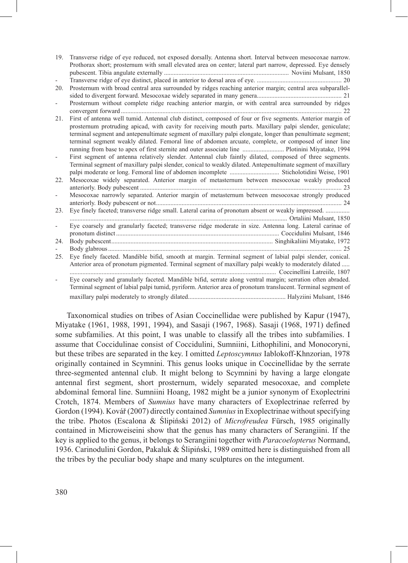| 19. | Transverse ridge of eye reduced, not exposed dorsally. Antenna short. Interval between mesocoxae narrow.                                                                                                                                                                                                                                                                                                                                                                                                                                         |
|-----|--------------------------------------------------------------------------------------------------------------------------------------------------------------------------------------------------------------------------------------------------------------------------------------------------------------------------------------------------------------------------------------------------------------------------------------------------------------------------------------------------------------------------------------------------|
|     | Prothorax short; prosternum with small elevated area on center; lateral part narrow, depressed. Eye densely                                                                                                                                                                                                                                                                                                                                                                                                                                      |
|     |                                                                                                                                                                                                                                                                                                                                                                                                                                                                                                                                                  |
|     |                                                                                                                                                                                                                                                                                                                                                                                                                                                                                                                                                  |
| 20. | Prosternum with broad central area surrounded by ridges reaching anterior margin; central area subparallel-                                                                                                                                                                                                                                                                                                                                                                                                                                      |
|     |                                                                                                                                                                                                                                                                                                                                                                                                                                                                                                                                                  |
| ÷,  | Prosternum without complete ridge reaching anterior margin, or with central area surrounded by ridges                                                                                                                                                                                                                                                                                                                                                                                                                                            |
|     |                                                                                                                                                                                                                                                                                                                                                                                                                                                                                                                                                  |
| 21. | First of antenna well tumid. Antennal club distinct, composed of four or five segments. Anterior margin of<br>prosternum protruding apicad, with cavity for receiving mouth parts. Maxillary palpi slender, geniculate;<br>terminal segment and antepenultimate segment of maxillary palpi elongate, longer than penultimate segment;<br>terminal segment weakly dilated. Femoral line of abdomen arcuate, complete, or composed of inner line<br>running from base to apex of first sternite and outer associate line  Plotinini Miyatake, 1994 |
|     | First segment of antenna relatively slender. Antennal club faintly dilated, composed of three segments.<br>Terminal segment of maxillary palpi slender, conical to weakly dilated. Antepenultimate segment of maxillary                                                                                                                                                                                                                                                                                                                          |
|     |                                                                                                                                                                                                                                                                                                                                                                                                                                                                                                                                                  |
| 22. | Mesocoxae widely separated. Anterior margin of metasternum between mesocoxae weakly produced                                                                                                                                                                                                                                                                                                                                                                                                                                                     |
| ÷,  | Mesocoxae narrowly separated. Anterior margin of metasternum between mesocoxae strongly produced                                                                                                                                                                                                                                                                                                                                                                                                                                                 |
| 23. | Eye finely faceted; transverse ridge small. Lateral carina of pronotum absent or weakly impressed.                                                                                                                                                                                                                                                                                                                                                                                                                                               |
|     |                                                                                                                                                                                                                                                                                                                                                                                                                                                                                                                                                  |
|     | Eye coarsely and granularly faceted; transverse ridge moderate in size. Antenna long. Lateral carinae of                                                                                                                                                                                                                                                                                                                                                                                                                                         |
|     |                                                                                                                                                                                                                                                                                                                                                                                                                                                                                                                                                  |
| 24. |                                                                                                                                                                                                                                                                                                                                                                                                                                                                                                                                                  |
|     |                                                                                                                                                                                                                                                                                                                                                                                                                                                                                                                                                  |
| 25. | Eye finely faceted. Mandible bifid, smooth at margin. Terminal segment of labial palpi slender, conical.                                                                                                                                                                                                                                                                                                                                                                                                                                         |
|     | Anterior area of pronotum pigmented. Terminal segment of maxillary palpi weakly to moderately dilated<br>Coccinellini Latreiile, 1807                                                                                                                                                                                                                                                                                                                                                                                                            |
|     | Eye coarsely and granularly faceted. Mandible bifid, serrate along ventral margin; serration often abraded.<br>Terminal segment of labial palpi tumid, pyriform. Anterior area of pronotum translucent. Terminal segment of                                                                                                                                                                                                                                                                                                                      |
|     |                                                                                                                                                                                                                                                                                                                                                                                                                                                                                                                                                  |

Taxonomical studies on tribes of Asian Coccinellidae were published by Kapur (1947), Miyatake (1961, 1988, 1991, 1994), and Sasaji (1967, 1968). Sasaji (1968, 1971) defined some subfamilies. At this point, I was unable to classify all the tribes into subfamilies. I assume that Coccidulinae consist of Coccidulini, Sumniini, Lithophilini, and Monocoryni, but these tribes are separated in the key. I omitted *Leptoscymnus* Iablokoff-Khnzorian, 1978 originally contained in Scymnini. This genus looks unique in Coccinellidae by the serrate three-segmented antennal club. It might belong to Scymnini by having a large elongate antennal first segment, short prosternum, widely separated mesocoxae, and complete abdominal femoral line. Sumniini Hoang, 1982 might be a junior synonym of Exoplectrini Crotch, 1874. Members of *Sumnius* have many characters of Exoplectrinae referred by Gordon (1994). Kovář (2007) directly contained *Sumnius* in Exoplectrinae without specifying the tribe. Photos (Escalona & Ślipiński 2012) of *Microfreudea* Fürsch, 1985 originally contained in Microweiseini show that the genus has many characters of Serangiini. If the key is applied to the genus, it belongs to Serangiini together with *Paracoelopterus* Normand, 1936. Carinodulini Gordon, Pakaluk & Ślipiński, 1989 omitted here is distinguished from all the tribes by the peculiar body shape and many sculptures on the integument.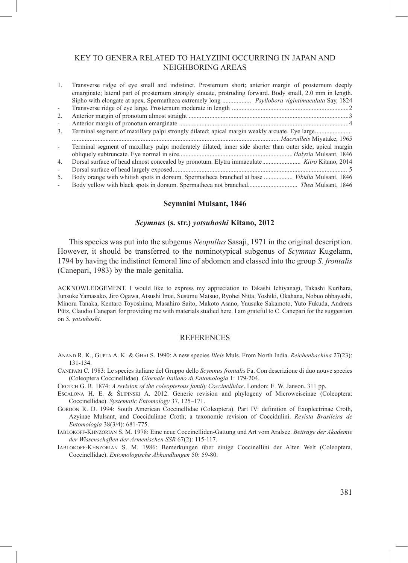## KEY TO GENERA RELATED TO HALYZIINI OCCURRING IN JAPAN AND NEIGHBORING AREAS

| 1.                       | Transverse ridge of eye small and indistinct. Prosternum short; anterior margin of prosternum deeply       |
|--------------------------|------------------------------------------------------------------------------------------------------------|
|                          | emarginate; lateral part of prosternum strongly sinuate, protruding forward. Body small, 2.0 mm in length. |
|                          | Sipho with elongate at apex. Spermatheca extremely long  Psyllobora vigintimaculata Say, 1824              |
| $\overline{\phantom{a}}$ |                                                                                                            |
| 2.                       |                                                                                                            |
| $\overline{\phantom{a}}$ |                                                                                                            |
| 3 <sub>1</sub>           |                                                                                                            |
|                          |                                                                                                            |
|                          |                                                                                                            |
|                          | Terminal segment of maxillary palpi moderately dilated; inner side shorter than outer side; apical margin  |
|                          |                                                                                                            |
| 4.                       | Dorsal surface of head almost concealed by pronotum. Elytra immaculate Kiiro Kitano, 2014                  |
| $\overline{\phantom{a}}$ |                                                                                                            |
| 5.                       | Body orange with whitish spots in dorsum. Spermatheca branched at base  Vibidia Mulsant, 1846              |

### **Scymnini Mulsant, 1846**

### *Scymnus* **(s. str.)** *yotsuhoshi* **Kitano, 2012**

This species was put into the subgenus *Neopullus* Sasaji, 1971 in the original description. However, it should be transferred to the nominotypical subgenus of *Scymnus* Kugelann, 1794 by having the indistinct femoral line of abdomen and classed into the group *S. frontalis* (Canepari, 1983) by the male genitalia.

ACKNOWLEDGEMENT. I would like to express my appreciation to Takashi Ichiyanagi, Takashi Kurihara, Junsuke Yamasako, Jiro Ogawa, Atsushi Imai, Susumu Matsuo, Ryohei Nitta, Yoshiki, Okahana, Nobuo ohbayashi, Minoru Tanaka, Kentaro Toyoshima, Masahiro Saito, Makoto Asano, Yuusuke Sakamoto, Yuto Fukuda, Andreas Pütz, Claudio Canepari for providing me with materials studied here. I am grateful to C. Canepari for the suggestion on *S. yotsuhoshi*.

### REFERENCES

- Anand R. K., Gupta A. K. & Ghai S. 1990: A new species *Illeis* Muls. From North India. *Reichenbachina* 27(23): 131-134.
- Canepari C. 1983: Le species italiane del Gruppo dello *Scymnus frontalis* Fa. Con descrizione di duo nouve species (Coleoptera Coccinellidae). *Giornale Italiano di Entomologia* 1: 179-204.
- Crotch G. R. 1874: *A revision of the coleopterous family Coccinellidae*. London: E. W. Janson. 311 pp.
- Escalona H. E. & Ślipiński A. 2012. Generic revision and phylogeny of Microweiseinae (Coleoptera: Coccinellidae). *Systematic Entomology* 37, 125–171.
- Gordon R. D. 1994: South American Coccinellidae (Coleoptera). Part IV: definition of Exoplectrinae Croth, Azyinae Mulsant, and Coccidulinae Croth; a taxonomic revision of Coccidulini. *Revista Brasileira de Entomologia* 38(3/4): 681-775.
- Iablokoff-Khnzorian S. M. 1978: Eine neue Coccinelliden-Gattung und Art vom Aralsee. *Beiträge der Akademie der Wissenschaften der Armenischen SSR* 67(2): 115-117.
- Iablokoff-Khnzorian S. M. 1986: Bemerkungen über einige Coccinellini der Alten Welt (Coleoptera, Coccinellidae). *Entomologische Abhandlungen* 50: 59-80.